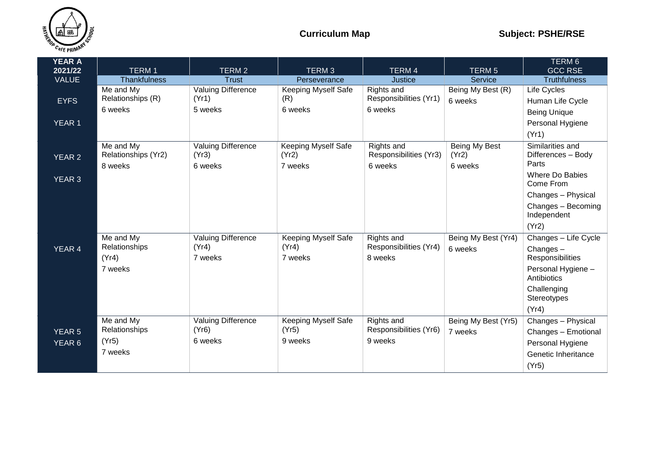

| <b>YEAR A</b><br>2021/22 | <b>TERM1</b>                                   | <b>TERM2</b>                                  | TERM <sub>3</sub>                              | <b>TERM4</b>                                    | <b>TERM<sub>5</sub></b>           | TERM 6<br><b>GCC RSE</b>                                                                                                         |
|--------------------------|------------------------------------------------|-----------------------------------------------|------------------------------------------------|-------------------------------------------------|-----------------------------------|----------------------------------------------------------------------------------------------------------------------------------|
| <b>VALUE</b>             | <b>Thankfulness</b>                            | Trust                                         | Perseverance                                   | Justice                                         | Service                           | <b>Truthfulness</b>                                                                                                              |
| <b>EYFS</b>              | Me and My<br>Relationships (R)<br>6 weeks      | <b>Valuing Difference</b><br>(Yr1)<br>5 weeks | Keeping Myself Safe<br>(R)<br>6 weeks          | Rights and<br>Responsibilities (Yr1)<br>6 weeks | Being My Best (R)<br>6 weeks      | Life Cycles<br>Human Life Cycle<br><b>Being Unique</b>                                                                           |
| <b>YEAR 1</b>            |                                                |                                               |                                                |                                                 |                                   | Personal Hygiene<br>(Yr1)                                                                                                        |
| <b>YEAR 2</b>            | Me and My<br>Relationships (Yr2)<br>8 weeks    | Valuing Difference<br>(Yr3)<br>6 weeks        | <b>Keeping Myself Safe</b><br>(Yr2)<br>7 weeks | Rights and<br>Responsibilities (Yr3)<br>6 weeks | Being My Best<br>(Yr2)<br>6 weeks | Similarities and<br>Differences - Body<br>Parts<br>Where Do Babies                                                               |
| <b>YEAR 3</b>            |                                                |                                               |                                                |                                                 |                                   | Come From<br>Changes - Physical<br>Changes - Becoming<br>Independent<br>(Yr2)                                                    |
| YEAR 4                   | Me and My<br>Relationships<br>(Yr4)<br>7 weeks | <b>Valuing Difference</b><br>(Yr4)<br>7 weeks | <b>Keeping Myself Safe</b><br>(Yr4)<br>7 weeks | Rights and<br>Responsibilities (Yr4)<br>8 weeks | Being My Best (Yr4)<br>6 weeks    | Changes - Life Cycle<br>Changes-<br>Responsibilities<br>Personal Hygiene -<br>Antibiotics<br>Challenging<br>Stereotypes<br>(Yr4) |
| <b>YEAR 5</b><br>YEAR 6  | Me and My<br>Relationships<br>(Yr5)<br>7 weeks | Valuing Difference<br>(Yr6)<br>6 weeks        | <b>Keeping Myself Safe</b><br>(Yr5)<br>9 weeks | Rights and<br>Responsibilities (Yr6)<br>9 weeks | Being My Best (Yr5)<br>7 weeks    | Changes - Physical<br>Changes - Emotional<br>Personal Hygiene<br>Genetic Inheritance<br>(Yr5)                                    |